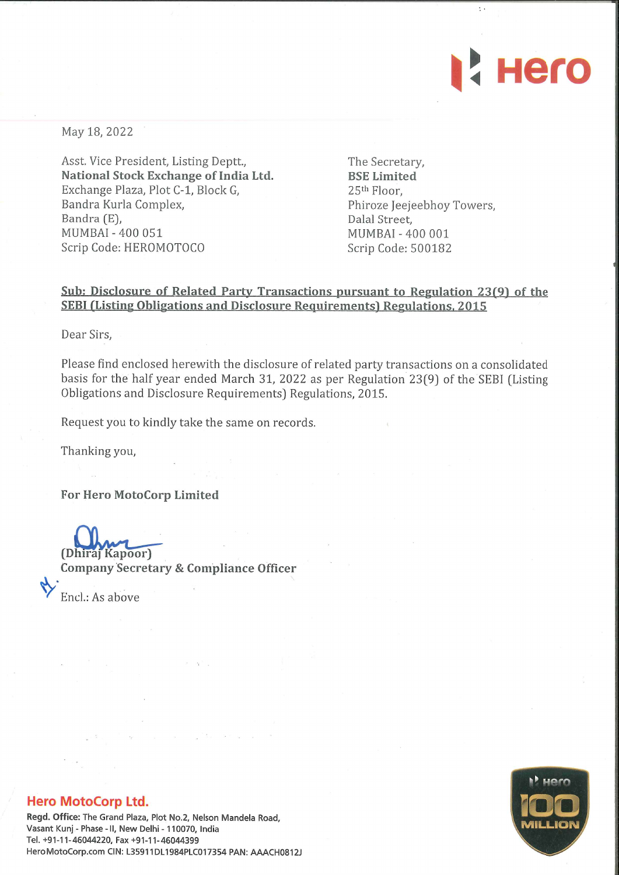

May 18, 2022

Asst. Vice President, Listing Deptt., National Stock Exchange of India Ltd. Exchange Plaza, Plot C-1, Block G, Bandra Kurla Complex, Bandra (E), MUMBAI - 400 051 Scrip Code: HEROMOTOCO

The Secretary, BSE Limited 25th Floor, Phiroze Jeejeebhoy Towers, Dalal Street, MUMBAI - 400 001 Scrip Code: 500182

## Sub: Disclosure of Related Party Transactions pursuant to Regulation 23(9) of the SEBI (Listing Obligations and Disclosure Requirements) Regulations, 2015

Dear Sirs,

Please find enclosed herewith the disclosure of related party transactions on a consolidated basis for the half year ended March 31, 2022 as per Regulation 23(9) of the SEBI (Listing Obligations and Disclosure Requirements) Regulations, 2015.

Request you to kindly take the same on records.

Thanking you,

For Hero MotoCorp Limited

(Dhiraj Kapoor) Company Secretary & Compliance Officer

Encl.: As above

## Hero MotoCorp Ltd.

Regd. Office: The Grand Plaza, Plot No.2, Nelson Mandela Road, Vasant Kunj - Phase - II, New Delhi - 110070, India Tel. +91-11-46044220, Fax +91-11-46044399 HeroMotoCorp.com CIN: L35911DL1984PLC017354 PAN: AAACH0812J

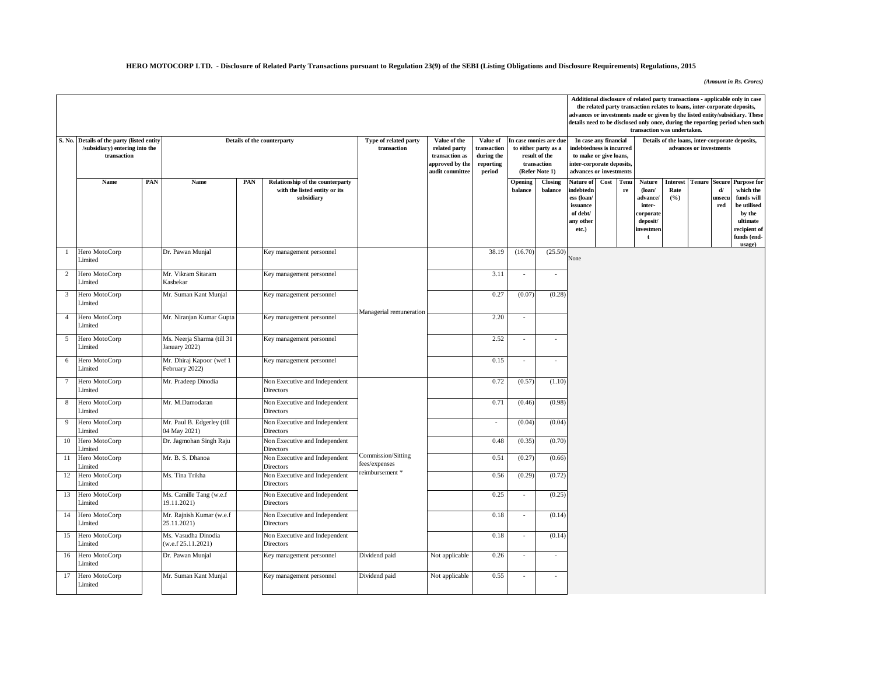## **HERO MOTOCORP LTD. - Disclosure of Related Party Transactions pursuant to Regulation 23(9) of the SEBI (Listing Obligations and Disclosure Requirements) Regulations, 2015**

*(Amount in Rs. Crores)*

|                |                                                                       |     |                                             |     |                                             |                                                        |                                    |                          |                             |                                                |                                                     |                       |                   | the related party transaction relates to loans, inter-corporate deposits, |             |                         |              | Additional disclosure of related party transactions - applicable only in case                                                                                 |
|----------------|-----------------------------------------------------------------------|-----|---------------------------------------------|-----|---------------------------------------------|--------------------------------------------------------|------------------------------------|--------------------------|-----------------------------|------------------------------------------------|-----------------------------------------------------|-----------------------|-------------------|---------------------------------------------------------------------------|-------------|-------------------------|--------------|---------------------------------------------------------------------------------------------------------------------------------------------------------------|
|                |                                                                       |     |                                             |     |                                             |                                                        |                                    |                          |                             |                                                |                                                     |                       |                   |                                                                           |             |                         |              | advances or investments made or given by the listed entity/subsidiary. These<br>details need to be disclosed only once, during the reporting period when such |
|                |                                                                       |     |                                             |     |                                             |                                                        |                                    |                          |                             |                                                |                                                     |                       |                   | transaction was undertaken.                                               |             |                         |              |                                                                                                                                                               |
| S. No.         | Details of the party (listed entity<br>/subsidiary) entering into the |     |                                             |     | Details of the counterparty                 | Type of related party<br>transaction                   | Value of the<br>related party      | Value of<br>transaction  |                             | In case monies are due<br>to either party as a | indebtedness is incurred                            | In case any financial |                   |                                                                           |             | advances or investments |              | Details of the loans, inter-corporate deposits,                                                                                                               |
|                | transaction                                                           |     |                                             |     |                                             |                                                        | transaction as                     | during the               |                             | result of the<br>transaction                   | to make or give loans,<br>inter-corporate deposits, |                       |                   |                                                                           |             |                         |              |                                                                                                                                                               |
|                |                                                                       |     |                                             |     |                                             |                                                        | approved by the<br>audit committee | reporting<br>period      |                             | (Refer Note 1)                                 | advances or investments                             |                       |                   |                                                                           |             |                         |              |                                                                                                                                                               |
|                | Name                                                                  | PAN | Name                                        | PAN | Relationship of the counterparty            |                                                        |                                    |                          | Opening                     | Closing                                        | Nature of                                           | Cost                  | Tenu              | Nature                                                                    | Interest    | <b>Tenure Secure</b>    | $\mathbf{d}$ | <b>Purpose for</b>                                                                                                                                            |
|                |                                                                       |     |                                             |     | with the listed entity or its<br>subsidiary |                                                        |                                    |                          | balance                     | balance                                        | indebtedn<br>ess (loan/                             |                       | ${\bf r} {\bf e}$ | $($ loan $/$<br>advance/                                                  | Rate<br>(%) |                         | unsecu       | which the<br>funds will                                                                                                                                       |
|                |                                                                       |     |                                             |     |                                             |                                                        |                                    |                          |                             |                                                | issuance<br>of debt/                                |                       |                   | inter-                                                                    |             |                         | red          | be utilised<br>by the                                                                                                                                         |
|                |                                                                       |     |                                             |     |                                             |                                                        |                                    |                          |                             |                                                | any other                                           |                       |                   | corporate<br>deposit/                                                     |             |                         |              | ultimate                                                                                                                                                      |
|                |                                                                       |     |                                             |     |                                             |                                                        |                                    |                          |                             |                                                | etc.)                                               |                       |                   | investmen<br>t                                                            |             |                         |              | recipient of<br>funds (end-                                                                                                                                   |
|                |                                                                       |     |                                             |     |                                             |                                                        |                                    |                          |                             |                                                |                                                     |                       |                   |                                                                           |             |                         |              | usage)                                                                                                                                                        |
| -1             | Hero MotoCorp<br>Limited                                              |     | Dr. Pawan Munjal                            |     | Key management personnel                    |                                                        |                                    | 38.19                    | (16.70)                     | (25.50)                                        | None                                                |                       |                   |                                                                           |             |                         |              |                                                                                                                                                               |
| $\overline{c}$ | Hero MotoCorp<br>Limited                                              |     | Mr. Vikram Sitaram<br>Kasbekar              |     | Key management personnel                    |                                                        |                                    | 3.11                     | $\mathcal{L}_{\mathcal{A}}$ | $\overline{a}$                                 |                                                     |                       |                   |                                                                           |             |                         |              |                                                                                                                                                               |
| 3              | Hero MotoCorp<br>imited                                               |     | Mr. Suman Kant Munjal                       |     | Key management personnel                    |                                                        |                                    | 0.27                     | (0.07)                      | (0.28)                                         |                                                     |                       |                   |                                                                           |             |                         |              |                                                                                                                                                               |
| $\overline{4}$ | Hero MotoCorp<br>imited                                               |     | Mr. Niranjan Kumar Gupta                    |     | Key management personnel                    | Managerial remuneration                                |                                    | 2.20                     | $\sim$                      |                                                |                                                     |                       |                   |                                                                           |             |                         |              |                                                                                                                                                               |
| 5              | Hero MotoCorp<br>imited                                               |     | Ms. Neerja Sharma (till 31<br>January 2022) |     | Key management personnel                    |                                                        |                                    | 2.52                     | $\sim$                      | $\overline{\phantom{a}}$                       |                                                     |                       |                   |                                                                           |             |                         |              |                                                                                                                                                               |
| 6              | Hero MotoCorp<br>imited                                               |     | Mr. Dhiraj Kapoor (wef 1<br>February 2022)  |     | Key management personnel                    |                                                        |                                    | 0.15                     | $\sim$                      | $\overline{a}$                                 |                                                     |                       |                   |                                                                           |             |                         |              |                                                                                                                                                               |
|                | Hero MotoCorp<br>Limited                                              |     | Mr. Pradeep Dinodia                         |     | Non Executive and Independent<br>Directors  |                                                        |                                    | 0.72                     | (0.57)                      | (1.10)                                         |                                                     |                       |                   |                                                                           |             |                         |              |                                                                                                                                                               |
| 8              | Hero MotoCorp<br>imited                                               |     | Mr. M.Damodaran                             |     | Non Executive and Independent<br>Directors  |                                                        |                                    | 0.71                     | (0.46)                      | (0.98)                                         |                                                     |                       |                   |                                                                           |             |                         |              |                                                                                                                                                               |
| 9              | Hero MotoCorp<br>imited                                               |     | Mr. Paul B. Edgerley (till<br>04 May 2021)  |     | Non Executive and Independent<br>Directors  |                                                        |                                    | $\overline{\phantom{a}}$ | (0.04)                      | (0.04)                                         |                                                     |                       |                   |                                                                           |             |                         |              |                                                                                                                                                               |
| 10             | Hero MotoCorp<br>imited                                               |     | Dr. Jagmohan Singh Raju                     |     | Non Executive and Independent<br>Directors  |                                                        |                                    | 0.48                     | (0.35)                      | (0.70)                                         |                                                     |                       |                   |                                                                           |             |                         |              |                                                                                                                                                               |
| 11             | Hero MotoCorp<br>imited                                               |     | Mr. B. S. Dhanoa                            |     | Non Executive and Independent<br>Directors  | Commission/Sitting<br>fees/expenses<br>reimbursement * |                                    | 0.51                     | (0.27)                      | (0.66)                                         |                                                     |                       |                   |                                                                           |             |                         |              |                                                                                                                                                               |
| 12             | Hero MotoCorp<br>Limited                                              |     | Ms. Tina Trikha                             |     | Non Executive and Independent<br>Directors  |                                                        |                                    | 0.56                     | (0.29)                      | (0.72)                                         |                                                     |                       |                   |                                                                           |             |                         |              |                                                                                                                                                               |
| 13             | Hero MotoCorp<br>imited                                               |     | Ms. Camille Tang (w.e.f<br>19.11.2021)      |     | Non Executive and Independent<br>Directors  |                                                        |                                    | 0.25                     |                             | (0.25)                                         |                                                     |                       |                   |                                                                           |             |                         |              |                                                                                                                                                               |
| 14             | Hero MotoCorp<br>Limited                                              |     | Mr. Rajnish Kumar (w.e.f<br>25.11.2021)     |     | Non Executive and Independent<br>Directors  |                                                        |                                    | 0.18                     | $\sim$                      | (0.14)                                         |                                                     |                       |                   |                                                                           |             |                         |              |                                                                                                                                                               |
| 15             | Hero MotoCorp<br>Limited                                              |     | Ms. Vasudha Dinodia<br>(w.e.f 25.11.2021)   |     | Non Executive and Independent<br>Directors  |                                                        |                                    | 0.18                     | $\sim$                      | (0.14)                                         |                                                     |                       |                   |                                                                           |             |                         |              |                                                                                                                                                               |
| 16             | Hero MotoCorp<br>Limited                                              |     | Dr. Pawan Munjal                            |     | Key management personnel                    | Dividend paid                                          | Not applicable                     | 0.26                     | $\sim$                      | $\overline{\phantom{a}}$                       |                                                     |                       |                   |                                                                           |             |                         |              |                                                                                                                                                               |
| 17             | Hero MotoCorp<br>Limited                                              |     | Mr. Suman Kant Munjal                       |     | Key management personnel                    | Dividend paid                                          | Not applicable                     | 0.55                     |                             |                                                |                                                     |                       |                   |                                                                           |             |                         |              |                                                                                                                                                               |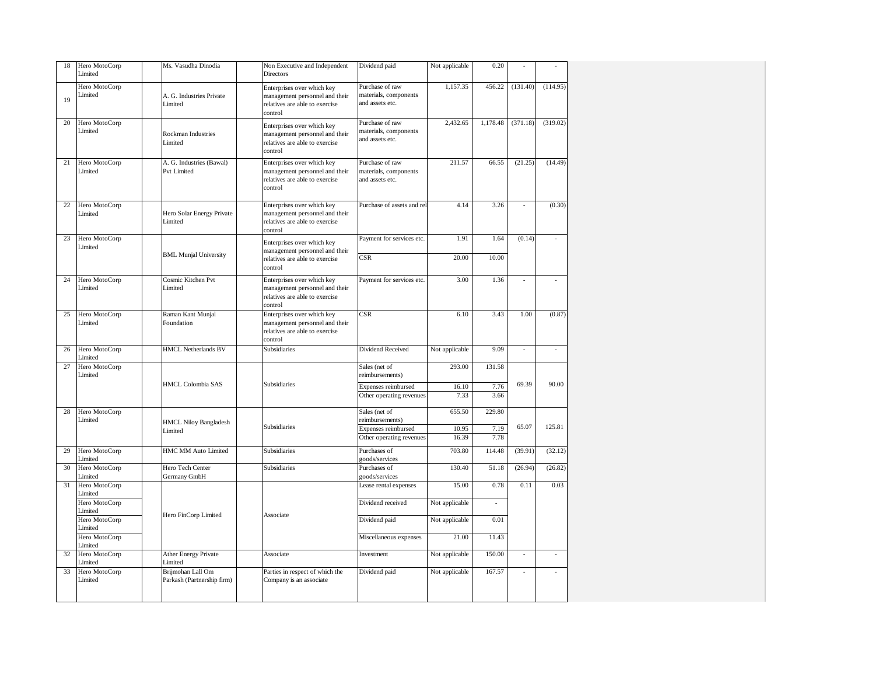| 18 | Hero MotoCorp<br>Limited | Ms. Vasudha Dinodia                             | Non Executive and Independent<br><b>Directors</b>                                                         | Dividend paid                                               | Not applicable | 0.20         |          |          |
|----|--------------------------|-------------------------------------------------|-----------------------------------------------------------------------------------------------------------|-------------------------------------------------------------|----------------|--------------|----------|----------|
| 19 | Hero MotoCorp<br>Limited | A. G. Industries Private<br>Limited             | Enterprises over which key<br>management personnel and their<br>relatives are able to exercise<br>control | Purchase of raw<br>materials, components<br>and assets etc. | 1.157.35       | 456.22       | (131.40) | (114.95) |
| 20 | Hero MotoCorp<br>Limited | <b>Rockman Industries</b><br>Limited            | Enterprises over which key<br>management personnel and their<br>relatives are able to exercise<br>control | Purchase of raw<br>materials, components<br>and assets etc. | 2,432.65       | 1,178.48     | (371.18) | (319.02) |
| 21 | Hero MotoCorp<br>Limited | A. G. Industries (Bawal)<br><b>Pvt Limited</b>  | Enterprises over which key<br>management personnel and their<br>relatives are able to exercise<br>control | Purchase of raw<br>materials, components<br>and assets etc. | 211.57         | 66.55        | (21.25)  | (14.49)  |
| 22 | Hero MotoCorp<br>Limited | Hero Solar Energy Private<br>Limited            | Enterprises over which key<br>management personnel and their<br>relatives are able to exercise<br>control | Purchase of assets and re                                   | 4.14           | 3.26         |          | (0.30)   |
| 23 | Hero MotoCorp<br>Limited |                                                 | Enterprises over which key                                                                                | Payment for services etc.                                   | 1.91           | 1.64         | (0.14)   |          |
|    |                          | <b>BML Munjal University</b>                    | management personnel and their<br>relatives are able to exercise<br>control                               | $\overline{\text{CSR}}$                                     | 20.00          | 10.00        |          |          |
| 24 | Hero MotoCorp<br>Limited | Cosmic Kitchen Pvt<br>Limited                   | Enterprises over which key<br>management personnel and their<br>relatives are able to exercise<br>control | Payment for services etc.                                   | 3.00           | 1.36         |          |          |
| 25 | Hero MotoCorp<br>Limited | Raman Kant Munjal<br>Foundation                 | Enterprises over which key<br>management personnel and their<br>relatives are able to exercise<br>control | CSR                                                         | 6.10           | 3.43         | 1.00     | (0.87)   |
| 26 | Hero MotoCorp<br>Limited | <b>HMCL Netherlands BV</b>                      | Subsidiaries                                                                                              | <b>Dividend Received</b>                                    | Not applicable | 9.09         |          |          |
| 27 | Hero MotoCorp<br>Limited |                                                 |                                                                                                           | Sales (net of<br>reimbursements)                            | 293.00         | 131.58       |          |          |
|    |                          | <b>HMCL Colombia SAS</b>                        | <b>Subsidiaries</b>                                                                                       | Expenses reimbursed<br>Other operating revenues             | 16.10<br>7.33  | 7.76<br>3.66 | 69.39    | 90.00    |
| 28 | Hero MotoCorp<br>Limited |                                                 |                                                                                                           | Sales (net of<br>reimbursements)                            | 655.50         | 229.80       |          |          |
|    |                          | <b>HMCL Niloy Bangladesh</b><br>Limited         | <b>Subsidiaries</b>                                                                                       | <b>Expenses reimbursed</b>                                  | 10.95          | 7.19         | 65.07    | 125.81   |
|    |                          |                                                 |                                                                                                           | Other operating revenues                                    | 16.39          | 7.78         |          |          |
| 29 | Hero MotoCorp<br>Limited | <b>HMC MM Auto Limited</b>                      | Subsidiaries                                                                                              | Purchases of<br>goods/services                              | 703.80         | 114.48       | (39.91)  | (32.12)  |
| 30 | Hero MotoCorp<br>Limited | Hero Tech Center<br>Germany GmbH                | Subsidiaries                                                                                              | Purchases of<br>goods/services                              | 130.40         | 51.18        | (26.94)  | (26.82)  |
| 31 | Hero MotoCorp<br>Limited |                                                 |                                                                                                           | Lease rental expenses                                       | 15.00          | 0.78         | 0.11     | 0.03     |
|    | Hero MotoCorp<br>Limited |                                                 |                                                                                                           | Dividend received                                           | Not applicable |              |          |          |
|    | Hero MotoCorp<br>imited  | Hero FinCorp Limited                            | Associate                                                                                                 | Dividend paid                                               | Not applicable | 0.01         |          |          |
|    | Hero MotoCorp<br>Limited |                                                 |                                                                                                           | Miscellaneous expenses                                      | 21.00          | 11.43        |          |          |
| 32 | Hero MotoCorp<br>Limited | <b>Ather Energy Private</b><br>Limited          | Associate                                                                                                 | Investment                                                  | Not applicable | 150.00       | ÷,       |          |
| 33 | Hero MotoCorp<br>Limited | Brijmohan Lall Om<br>Parkash (Partnership firm) | Parties in respect of which the<br>Company is an associate                                                | Dividend paid                                               | Not applicable | 167.57       |          |          |
|    |                          |                                                 |                                                                                                           |                                                             |                |              |          |          |